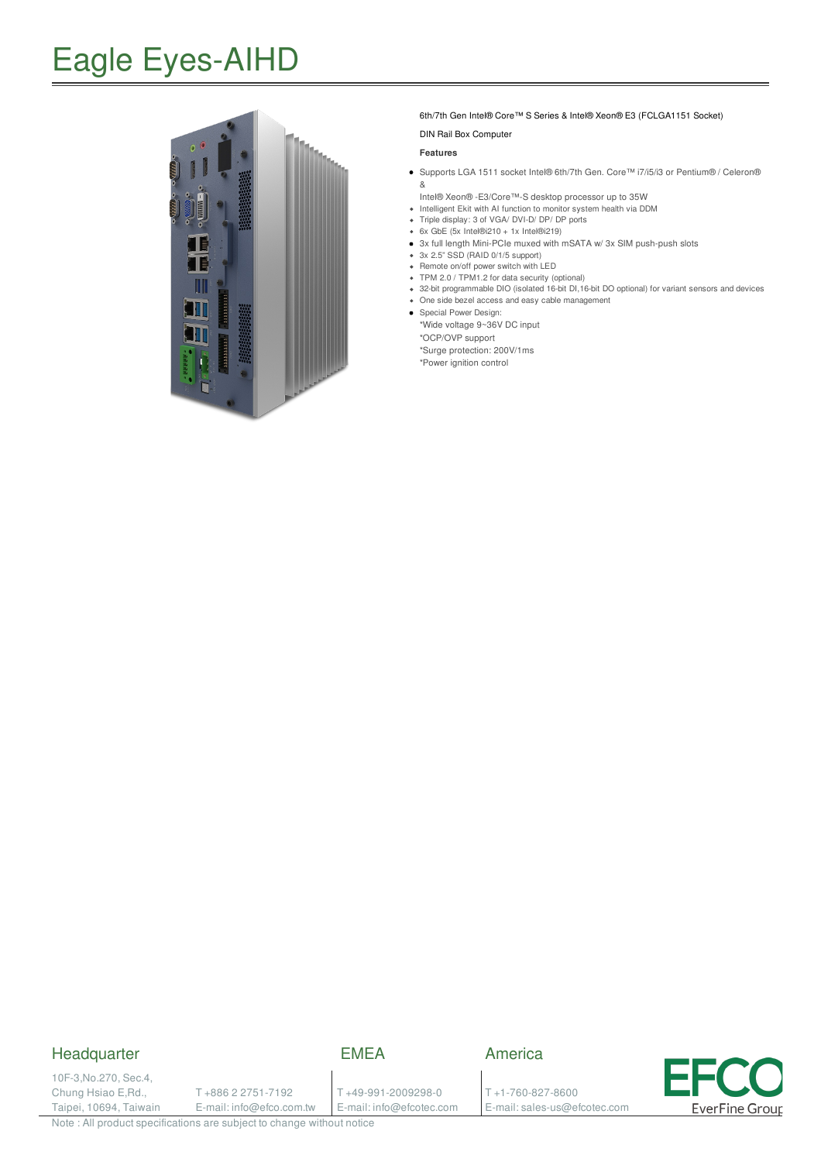## Eagle Eyes-AIHD



#### 6th/7th Gen Intel® Core™ S Series & Intel® Xeon® E3 (FCLGA1151 Socket)

#### DIN Rail Box Computer

#### **Features**

- Supports LGA 1511 socket Intel® 6th/7th Gen. Core™ i7/i5/i3 or Pentium® /Celeron® &
- Intel® Xeon® -E3/Core™-S desktop processor up to 35W
- Intelligent Ekit with AI function to monitor system health via DDM  $\bullet$ Triple display: 3 of VGA/ DVI-D/ DP/ DP ports
- 6x GbE (5x Intel®i210 + 1x Intel®i219)
- 3x full length Mini-PCIe muxed with mSATA w/ 3x SIM push-push slots
- 3x 2.5" SSD (RAID 0/1/5 support)
- Remote on/off power switch with LED
- TPM 2.0 / TPM1.2 for data security (optional)
- 32-bit programmable DIO (isolated 16-bit DI,16-bit DO optional) for variant sensors and devices One side bezel access and easy cable management
- Special Power Design:
- \*Wide voltage 9~36V DC input \*OCP/OVP support

\*Surge protection: 200V/1ms

\*Power ignition control

### **Headquarter**

10F-3,No.270, Sec.4, Chung Hsiao E,Rd., Taipei, 10694, Taiwain T +886 2 2751-7192

E-mail: info@efco.com.tw

T +49-991-2009298-0 E-mail: info@efcotec.com

EMEA

T +1-760-827-8600

E-mail: sales-us@efcotec.com

America



Note : All product specifications are subject to change without notice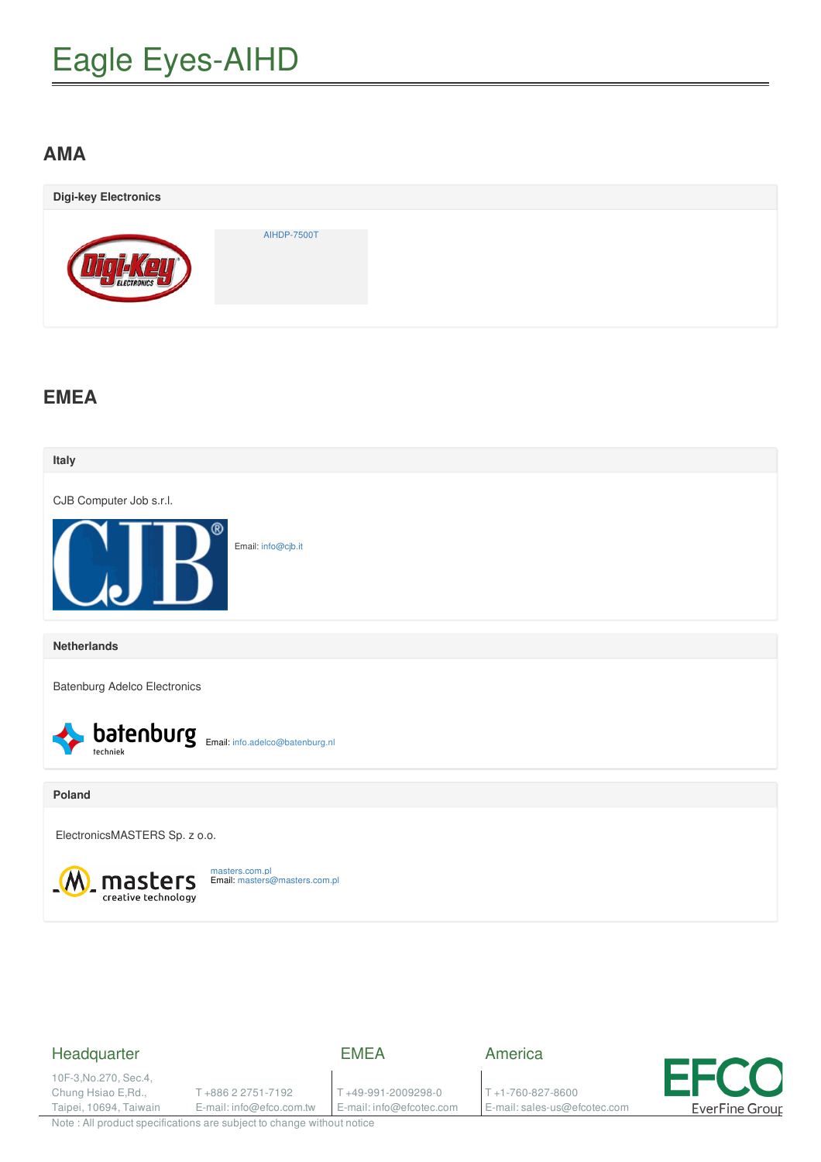# Eagle Eyes-AIHD

## **AMA**

| <b>Digi-key Electronics</b> |                    |  |
|-----------------------------|--------------------|--|
| ELECTRONICS                 | <b>AIHDP-7500T</b> |  |

## **EMEA**



### Headquarter

EMEA

10F-3,No.270, Sec.4, Chung Hsiao E,Rd., Taipei, 10694, Taiwain

T +886 2 2751-7192 E-mail: info@efco.com.tw

T +49-991-2009298-0 E-mail: info@efcotec.com America

T +1-760-827-8600 E-mail: sales-us@efcotec.com



Note : All product specifications are subject to change without notice